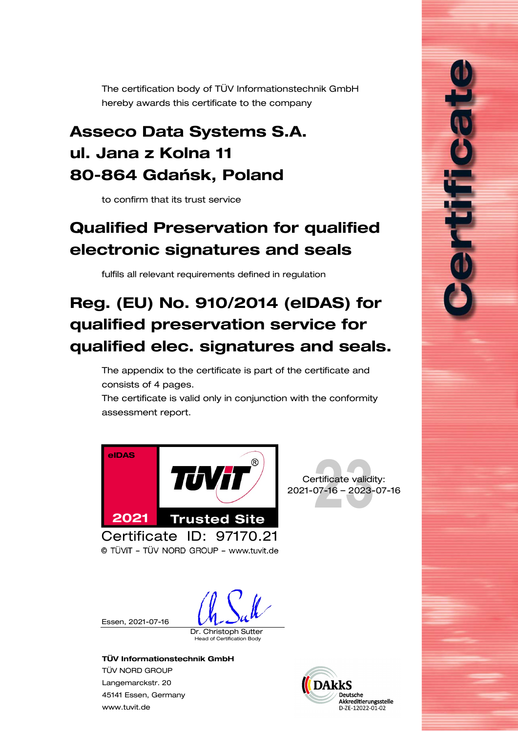<span id="page-0-0"></span>The certification body of TÜV Informationstechnik GmbH hereby awards this certificate to the company

## Asseco Data Systems S.A. ul. Jana z Kolna 11 80-864 Gdańsk, Poland

to confirm that its trust service

# <span id="page-0-1"></span>Qualified Preservation for qualified electronic signatures and seals

fulfils all relevant requirements defined in regulation

# Reg. (EU) No. 910/2014 (eIDAS) for qualified preservation service for qualified elec. signatures and seals.

The appendix to the certificate is part of the certificate and consists of [4](#page-1-0) pages.

The certificate is valid only in conjunction with the conformity assessment report.





i<br>S

© TÜVIT - TÜV NORD GROUP - www.tuvit.de

Essen, [2021-07-16](#page-0-0)

Dr. Christoph Sutter

d of Certification Body

#### TÜV Informationstechnik GmbH

TÜV NORD GROUP Langemarckstr. 20 45141 Essen, Germany [www.tuvit.de](http://www.tuvit.de/)

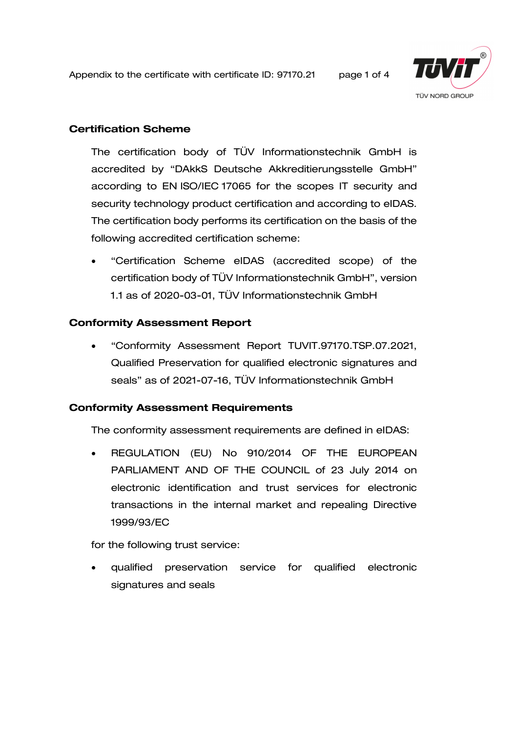<span id="page-1-0"></span>Appendix to the certificate with certificate ID: [97170.21](#page-0-0) page 1 of 4



## Certification Scheme

The certification body of TÜV Informationstechnik GmbH is accredited by "DAkkS Deutsche Akkreditierungsstelle GmbH" according to EN ISO/IEC 17065 for the scopes IT security and security technology product certification and according to eIDAS. The certification body performs its certification on the basis of the following accredited certification scheme:

• "Certification Scheme eIDAS (accredited scope) of the certification body of TÜV Informationstechnik GmbH", version 1.1 as of 2020-03-01, TÜV Informationstechnik GmbH

## Conformity Assessment Report

• "Conformity Assessment Report TUVIT[.97170.](#page-0-0)TSP.07.2021, [Qualified Preservation for qualified electronic signatures and](#page-0-1)  [seals"](#page-0-1) as of 2021-07-16, TÜV Informationstechnik GmbH

### Conformity Assessment Requirements

The conformity assessment requirements are defined in eIDAS:

• REGULATION (EU) No 910/2014 OF THE EUROPEAN PARLIAMENT AND OF THE COUNCIL of 23 July 2014 on electronic identification and trust services for electronic transactions in the internal market and repealing Directive 1999/93/EC

for the following trust service:

• qualified preservation service for qualified electronic signatures and seals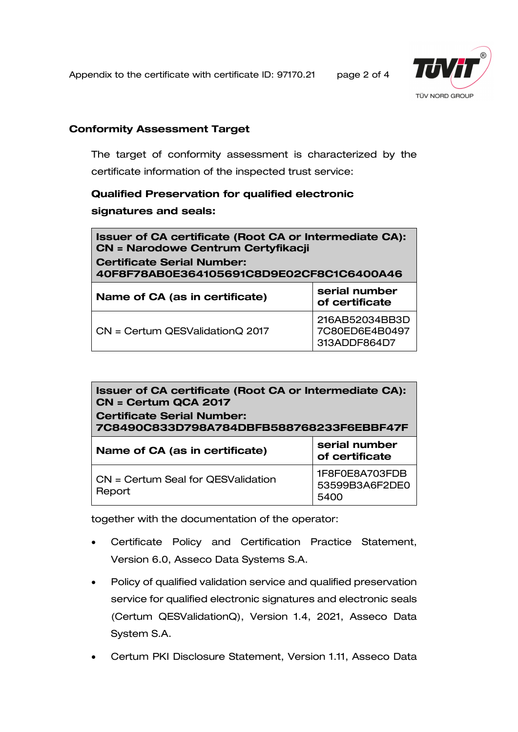Appendix to the certificate with certificate ID: [97170.21](#page-0-0) page 2 of 4

313ADDF864D7



## Conformity Assessment Target

The target of conformity assessment is characterized by the certificate information of the inspected trust service:

## [Qualified Preservation for qualified electronic](#page-0-1)  [signatures and seals](#page-0-1):

| Issuer of CA certificate (Root CA or Intermediate CA):<br><b>CN = Narodowe Centrum Certyfikacji</b><br><b>Certificate Serial Number:</b><br>40F8F78AB0E364105691C8D9E02CF8C1C6400A46 |                                  |
|--------------------------------------------------------------------------------------------------------------------------------------------------------------------------------------|----------------------------------|
| Name of CA (as in certificate)                                                                                                                                                       | serial number<br>of certificate  |
| $CN =$ Certum QESValidation Q 2017                                                                                                                                                   | 216AB52034BB3D<br>7C80ED6E4B0497 |

| Issuer of CA certificate (Root CA or Intermediate CA):<br>CN = Certum QCA 2017<br><b>Certificate Serial Number:</b><br>7C8490C833D798A784DBFB588768233F6EBBF47F |                                          |  |
|-----------------------------------------------------------------------------------------------------------------------------------------------------------------|------------------------------------------|--|
| Name of CA (as in certificate)                                                                                                                                  | serial number<br>of certificate          |  |
| CN = Certum Seal for QESValidation<br>Report                                                                                                                    | 1F8F0E8A703FDB<br>53599B3A6F2DE0<br>5400 |  |

together with the documentation of the operator:

- Certificate Policy and Certification Practice Statement, Version 6.0, Asseco Data Systems S.A.
- Policy of qualified validation service and qualified preservation service for qualified electronic signatures and electronic seals (Certum QESValidationQ), Version 1.4, 2021, Asseco Data System S.A.
- Certum PKI Disclosure Statement, Version 1.11, Asseco Data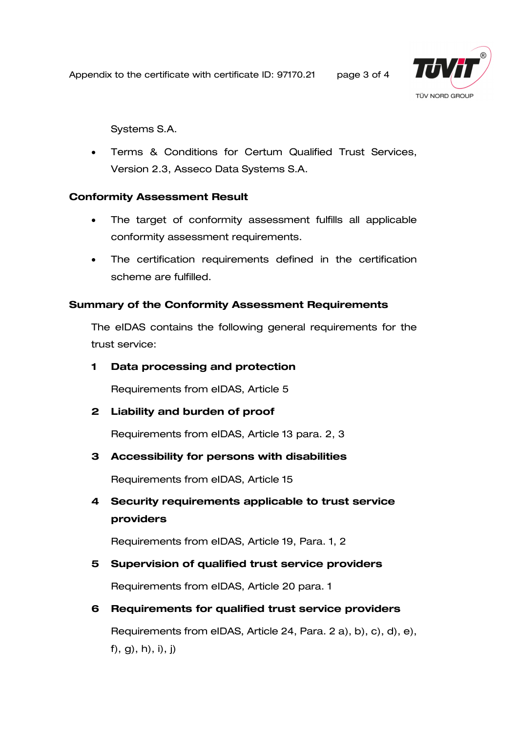Appendix to the certificate with certificate ID: [97170.21](#page-0-0) page 3 of 4



Systems S.A.

• Terms & Conditions for Certum Qualified Trust Services, Version 2.3, Asseco Data Systems S.A.

## Conformity Assessment Result

- The target of conformity assessment fulfills all applicable conformity assessment requirements.
- The certification requirements defined in the certification scheme are fulfilled.

## Summary of the Conformity Assessment Requirements

The eIDAS contains the following general requirements for the trust service:

## 1 Data processing and protection

Requirements from eIDAS, Article 5

2 Liability and burden of proof

Requirements from eIDAS, Article 13 para. 2, 3

## 3 Accessibility for persons with disabilities

Requirements from eIDAS, Article 15

4 Security requirements applicable to trust service providers

Requirements from eIDAS, Article 19, Para. 1, 2

## 5 Supervision of qualified trust service providers

Requirements from eIDAS, Article 20 para. 1

## 6 Requirements for qualified trust service providers

Requirements from eIDAS, Article 24, Para. 2 a), b), c), d), e), f), g), h), i), j)